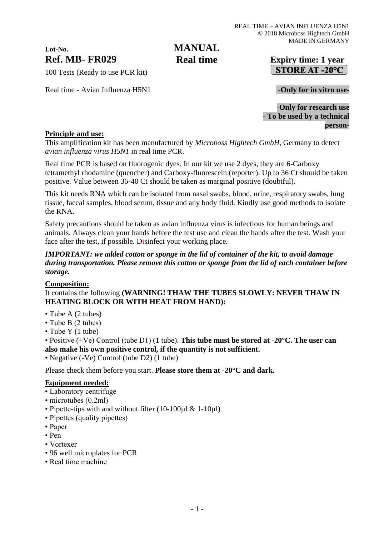# **Lot-No.**

# **MANUAL Real time**

# **Ref. MB- FR029 Expiry time: 1 year** STORE AT -20°C

100 Tests (Ready to use PCR kit)

Real time - Avian Influenza H5N1 **-Only for in vitro use-**

-**Only for research use** - **To be used by a technical person-**

### **Principle and use:**

This amplification kit has been manufactured by *Microboss Hightech GmbH*, Germany to detect *avian influenza virus H5N1* in real time PCR.

Real time PCR is based on fluorogenic dyes. In our kit we use 2 dyes, they are 6-Carboxy tetramethyl rhodamine (quencher) and Carboxy-fluorescein (reporter). Up to 36 Ct should be taken positive. Value between 36-40 Ct should be taken as marginal positive (doubtful).

This kit needs RNA which can be isolated from nasal swabs, blood, urine, respiratory swabs, lung tissue, faecal samples, blood serum, tissue and any body fluid. Kindly use good methods to isolate the RNA.

Safety precautions should be taken as avian influenza virus is infectious for human beings and animals. Always clean your hands before the test use and clean the hands after the test. Wash your face after the test, if possible. Disinfect your working place.

#### *IMPORTANT: we added cotton or sponge in the lid of container of the kit, to avoid damage during transportation. Please remove this cotton or sponge from the lid of each container before storage.*

# **Composition:**

It contains the following **(WARNING! THAW THE TUBES SLOWLY: NEVER THAW IN HEATING BLOCK OR WITH HEAT FROM HAND):**

- Tube A (2 tubes)
- Tube B (2 tubes)
- Tube Y (1 tube)

• Positive (+Ve) Control (tube D1) (1 tube). **This tube must be stored at -20°C. The user can also make his own positive control, if the quantity is not sufficient.**

• Negative (-Ve) Control (tube D2) (1 tube)

Please check them before you start. **Please store them at -20°C and dark.**

#### **Equipment needed:**

- Laboratory centrifuge
- microtubes (0.2ml)
- Pipette-tips with and without filter (10-100ul & 1-10ul)
- Pipettes (quality pipettes)
- Paper
- Pen
- Vortexer
- 96 well microplates for PCR
- Real time machine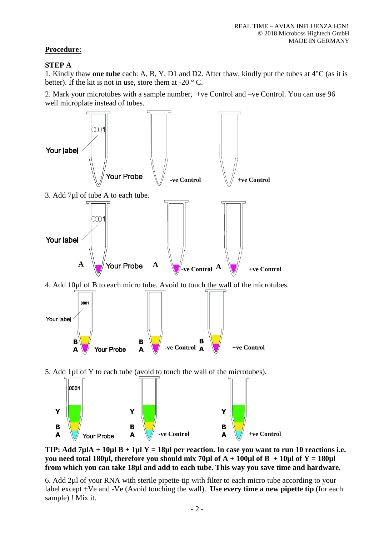## **Procedure:**

#### **STEP A**

1. Kindly thaw **one tube** each: A, B, Y, D1 and D2. After thaw, kindly put the tubes at 4°C (as it is better). If the kit is not in use, store them at -20  $\degree$  C.

2. Mark your microtubes with a sample number, +ve Control and –ve Control. You can use 96 well microplate instead of tubes.



**TIP:** Add  $7\mu$ IA +  $10\mu$ I B +  $1\mu$ I Y =  $18\mu$ I per reaction. In case you want to run 10 reactions i.e. **you need total 180µl, therefore you should mix 70µl of**  $A + 100\mu$ **l of**  $B + 10\mu$ **l of**  $Y = 180\mu$ **l from which you can take 18µl and add to each tube. This way you save time and hardware.**

6. Add 2µl of your RNA with sterile pipette-tip with filter to each micro tube according to your label except +Ve and -Ve (Avoid touching the wall). **Use every time a new pipette tip** (for each sample) ! Mix it.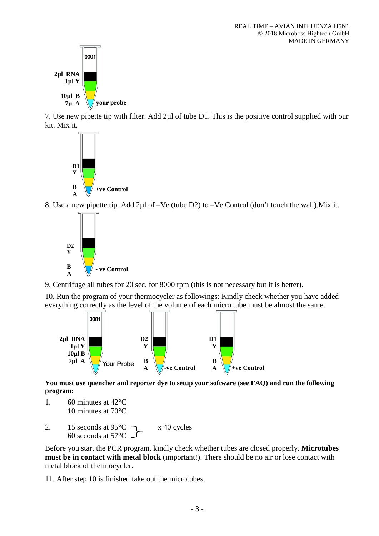

7. Use new pipette tip with filter. Add 2µl of tube D1. This is the positive control supplied with our kit. Mix it.



8. Use a new pipette tip. Add 2µl of –Ve (tube D2) to –Ve Control (don't touch the wall).Mix it.



9. Centrifuge all tubes for 20 sec. for 8000 rpm (this is not necessary but it is better).

10. Run the program of your thermocycler as followings: Kindly check whether you have added everything correctly as the level of the volume of each micro tube must be almost the same.



**You must use quencher and reporter dye to setup your software (see FAQ) and run the following program:**

- 1. 60 minutes at 42°C 10 minutes at 70°C
- 2. 15 seconds at  $95^{\circ}$ C  $\qquad \qquad$  x 40 cycles 60 seconds at 57°C

Before you start the PCR program, kindly check whether tubes are closed properly. **Microtubes must be in contact with metal block** (important!). There should be no air or lose contact with metal block of thermocycler.

11. After step 10 is finished take out the microtubes.